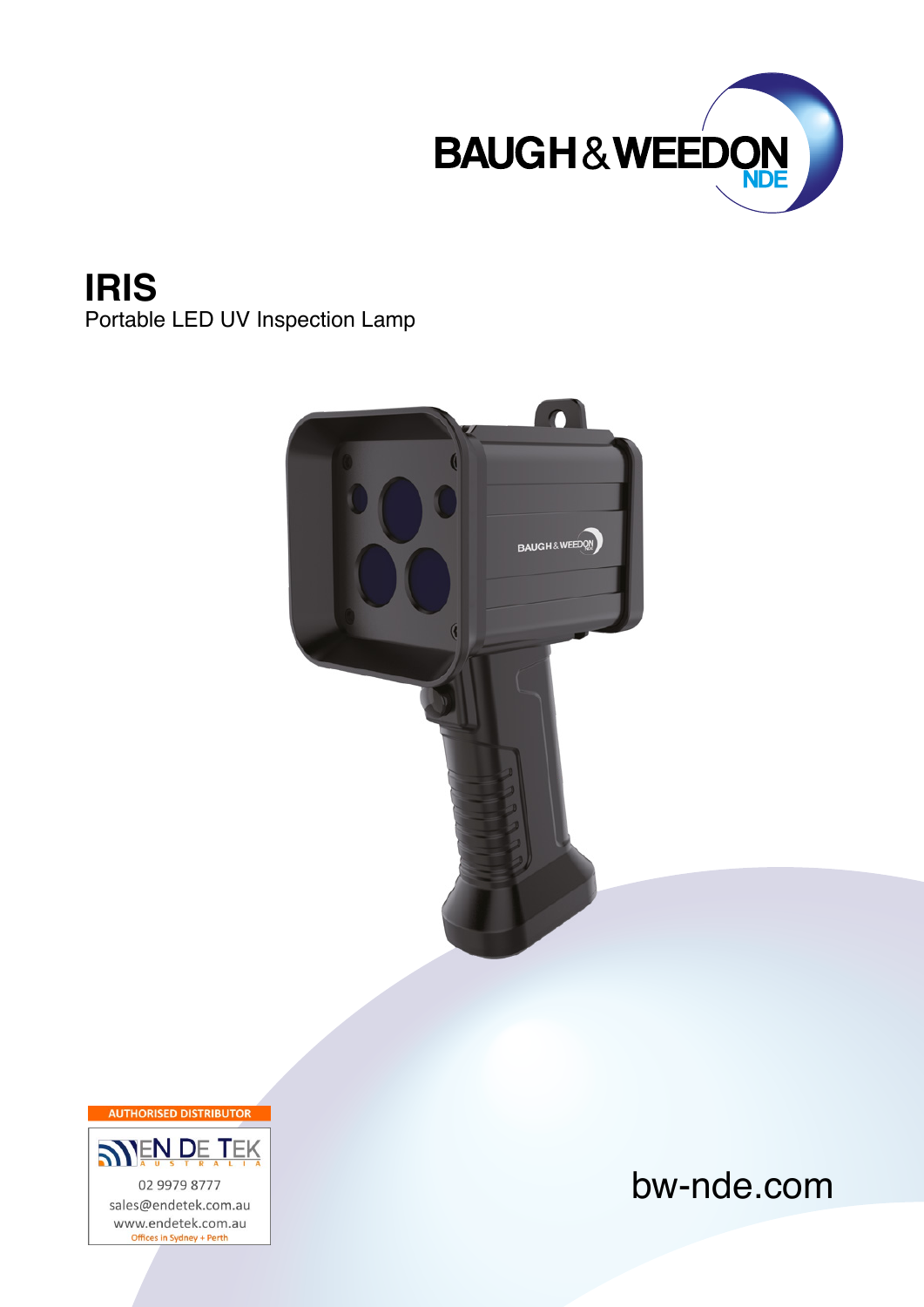

**IRIS** Portable LED UV Inspection Lamp



**AUTHORISED DISTRIBUTOR SNEN DE TEK** 02 9979 8777 sales@endetek.com.au www.endetek.com.au Offices in Sydney + Perth

## bw-nde.com